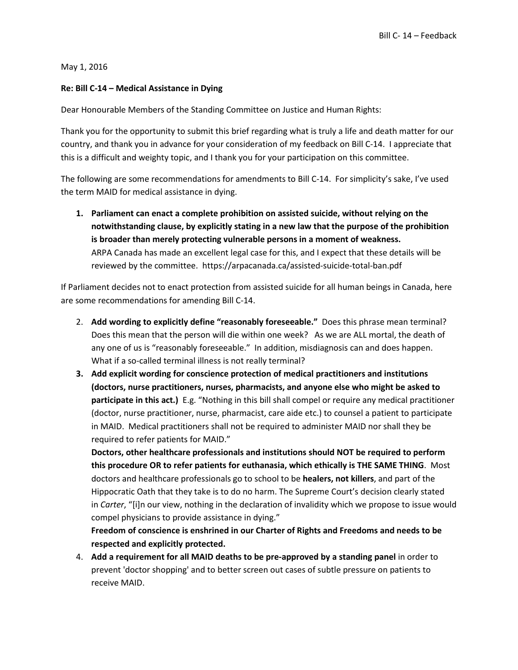May 1, 2016

## **Re: Bill C-14 – Medical Assistance in Dying**

Dear Honourable Members of the Standing Committee on Justice and Human Rights:

Thank you for the opportunity to submit this brief regarding what is truly a life and death matter for our country, and thank you in advance for your consideration of my feedback on Bill C-14. I appreciate that this is a difficult and weighty topic, and I thank you for your participation on this committee.

The following are some recommendations for amendments to Bill C-14. For simplicity's sake, I've used the term MAID for medical assistance in dying.

**1. Parliament can enact a complete prohibition on assisted suicide, without relying on the notwithstanding clause, by explicitly stating in a new law that the purpose of the prohibition is broader than merely protecting vulnerable persons in a moment of weakness.**  ARPA Canada has made an excellent legal case for this, and I expect that these details will be reviewed by the committee. https://arpacanada.ca/assisted-suicide-total-ban.pdf

If Parliament decides not to enact protection from assisted suicide for all human beings in Canada, here are some recommendations for amending Bill C-14.

- 2. **Add wording to explicitly define "reasonably foreseeable."** Does this phrase mean terminal? Does this mean that the person will die within one week? As we are ALL mortal, the death of any one of us is "reasonably foreseeable." In addition, misdiagnosis can and does happen. What if a so-called terminal illness is not really terminal?
- **3. Add explicit wording for conscience protection of medical practitioners and institutions (doctors, nurse practitioners, nurses, pharmacists, and anyone else who might be asked to participate in this act.)** E.g. "Nothing in this bill shall compel or require any medical practitioner (doctor, nurse practitioner, nurse, pharmacist, care aide etc.) to counsel a patient to participate in MAID. Medical practitioners shall not be required to administer MAID nor shall they be required to refer patients for MAID."

**Doctors, other healthcare professionals and institutions should NOT be required to perform this procedure OR to refer patients for euthanasia, which ethically is THE SAME THING**. Most doctors and healthcare professionals go to school to be **healers, not killers**, and part of the Hippocratic Oath that they take is to do no harm. The Supreme Court's decision clearly stated in *Carter*, "[i]n our view, nothing in the declaration of invalidity which we propose to issue would compel physicians to provide assistance in dying."

**Freedom of conscience is enshrined in our Charter of Rights and Freedoms and needs to be respected and explicitly protected.** 

4. **Add a requirement for all MAID deaths to be pre-approved by a standing panel** in order to prevent 'doctor shopping' and to better screen out cases of subtle pressure on patients to receive MAID.